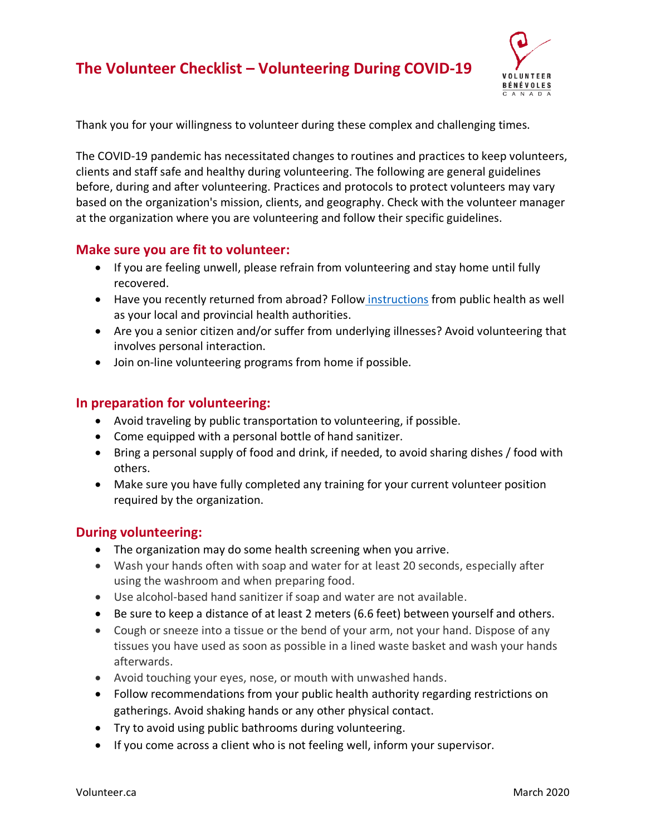# **The Volunteer Checklist – Volunteering During COVID-19**



Thank you for your willingness to volunteer during these complex and challenging times.

The COVID-19 pandemic has necessitated changes to routines and practices to keep volunteers, clients and staff safe and healthy during volunteering. The following are general guidelines before, during and after volunteering. Practices and protocols to protect volunteers may vary based on the organization's mission, clients, and geography. Check with the volunteer manager at the organization where you are volunteering and follow their specific guidelines.

#### **Make sure you are fit to volunteer:**

- If you are feeling unwell, please refrain from volunteering and stay home until fully recovered.
- Have you recently returned from abroad? Follow [instructions](https://www.canada.ca/en/public-health/services/diseases/2019-novel-coronavirus-infection/latest-travel-health-advice.html) from public health as well as your local and provincial health authorities.
- Are you a senior citizen and/or suffer from underlying illnesses? Avoid volunteering that involves personal interaction.
- Join on-line volunteering programs from home if possible.

### **In preparation for volunteering:**

- Avoid traveling by public transportation to volunteering, if possible.
- Come equipped with a personal bottle of hand sanitizer.
- Bring a personal supply of food and drink, if needed, to avoid sharing dishes / food with others.
- Make sure you have fully completed any training for your current volunteer position required by the organization.

#### **During volunteering:**

- The organization may do some health screening when you arrive.
- Wash your hands often with soap and water for at least 20 seconds, especially after using the washroom and when preparing food.
- Use alcohol-based hand sanitizer if soap and water are not available.
- Be sure to keep a distance of at least 2 meters (6.6 feet) between yourself and others.
- Cough or sneeze into a tissue or the bend of your arm, not your hand. Dispose of any tissues you have used as soon as possible in a lined waste basket and wash your hands afterwards.
- Avoid touching your eyes, nose, or mouth with unwashed hands.
- Follow recommendations from your public health authority regarding restrictions on gatherings. Avoid shaking hands or any other physical contact.
- Try to avoid using public bathrooms during volunteering.
- If you come across a client who is not feeling well, inform your supervisor.